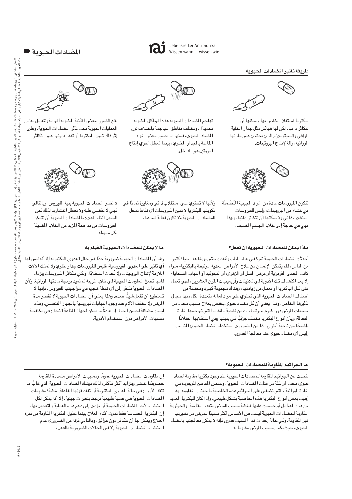# المضادات الحيوية ■

## طريقة تأثير المضادات الحيوية



للبكتريا استقلاب خاص بها ويمكنها أن تتكاثر ذاتيا. لكن لها هياكل مثل جدار الخلية الواقي والسيتويلازم الذي يحتوي على مادتها الوراثية، وآلة لإنتاج البروتينات.



تتكون الفيروسات عادة من المواد الجينية المُتَضَمنَة في غشاء من البروتينات، وليس للفيروسات استقلاب ذاتى ولا يمكنها أن تتكاثر ذاتيا، ولهذا فهي في حاجة إلى خلايا الجسم المضيف.



تهاجم المضادات الحيوية هذه الهياكل الخلوية تحديدًا ، وتختلف مناطق المهاجمة باختلاف نوع المضاد الحيوي، فمنها ما يصيب بعض المواد الفاعلة بالجدار الخلوي، بينما تعطل أخري إنتاج البروتين في الداخل.



ولأنها لا تحتوي على استقلاب ذاتى ومغايرة تمامًا فى تكوينها للبكتريا لا تتيح الفيروسات أي نقاط تدخل للمضادات الحيوية ولا تكون فعالة ضدها .



يقع الضرر ببعض الأبنية الخلوية الهامة وتتعطل بعض العمليات الحيوية تحت تأثر المضادات الحيوية، وعلى إثر ذلك تموت البكتريا أو تفقد قدرتها على التكاثر.



لا تضر المضادات الحيوية بنية الفيروس، وبالتالي فهي لا تقضي عليه ولا تعطل انتشاره. لذلك فمن السهل أثناء العلاج بالمضادات الحيوية أن تتمكن الفيروسات من مداهمة المزيد من الخلايا المضيفة بكل سنهولة.

# ماذا يمكن للمضادات الحيوية أن تفعل؟

أحدثت المضادات الحيوية ثورة فيي عالم الطب وأنقذت حتى يومنا هذا حياة كثير من الناس، فلم يتمكن الإنسان من علاج الأمراض المعدية المرتبطة بالبكتريا- سواء كانت الحمى القرمزية أو مرض السل أو الزهري أو التيفوئيد أو التهاب السحايا-إلا بعد اكتشاف تلك الأدوية في ثلاثينات وأربعينيات القرن العشرين، فهي تعمل على قتل الباكتريا أو تعطل من زيادتها ، وهناك مجموعة كبيرة ومختلفة من أصناف المضادات الحيوية التي تحتوي على مواد فعالة متعددة، لكل منها مجال تأثيرها الخاص. وهذا يعني أن كل مضاد حيوي يختص بعلاج مسبب محدد من مسببات المرض دون غيره. ويرتبط ذلك من ناحية بالنقاط التي تهاجمها المادة الفعالة، وبأن أنواع البكتريا تختلف جزئيًا في بنيتها وفي استقلابها اختلافًا واضحًا من ناحية أخرى، لذا من الضروري استخدام المضاد الحيوي المناسب وليس أي مضاد حيوي عند معالجة العدوى.

## ما لا يمكن للمضادات الحيوية القيام به

رغم أن المضادات الحيوية ضرورية جدًا في حال العدوى البكتيرية إلا أنه ليس لها أي تأثير على العدوى الفيروسية، فليس للفيروسات جدار خلوي ولا تمتلك الآلات اللازمة لإنتاج البروتينات ولا تحدث استقلابًا. ولكي تتكاثر الفيروسات وتزداد فإنها تضخ المعلومات الجينية في خلايا غريبة ثم تعيد برمجة مادتها الوراثية. ولأن المضادات الحيوية تفتقر إلى أي نقطة هجوم في مواجهتها للفيروس، فإنها لا تستطيع أن تفعل شيئًا ضده. وهذا يعني أن المضادات الحيوية لا تقصر مدة المرض ولا تخفف الألام عند وجود التهابات فيروسية بالجهاز التنفسي. وهذه ليست مشكلة لحسن الحظ؛ إذ عادةً ما يمكن لجهاز المناعة النجاح في مكافحة مسببات الأمراض دون استخدام الأدوية.

### ما الجراثيم المقاومة للمضادات الحيوية؟

نتحدث عن الجراثيم المقاومة للمضادات الحيوية عند وجود بكتريا مقاومة لمضاد حيوي محدد أو لفئة من فئات المضادات الحيوية. وتسمى المقاطع الموجودة في المادة الوراثية والتي تضفي على الجراثيم هذه الخاصية بالجينات المقاومة. وقد وُهبت بعض أنواع البكتريا هذه الخاصية بشكل طبيعي. واذا كان للبكتريا العديد من هذه العوامل أو حصلت عليها فينشأ مسبب للمرض متعدد المقاومة. والجرثومة المقاومة للمضادات الحيوية ليست في الأساس أكثر تسببًا للمرض من نظيرتها غير المقاومة، وفي حالة إحداث هذا المسبب عدوى فإنه لا يمكن معالجتها بالمضاد الحيوي، حيث يكون مسبب المرض مقاوما له.

إن مقاومات المضادات الحيوية عمومًا ومسببات الأمراض متعددة المقاومة خصوصًا تنتشر وتتزايد أكثر فأكثر ، لذلك توشك المصادات الحيوية التي غالبًا ما تنقذ الأرواح في حالة العدوى البكتيرية أن تفقد قوتها الفاعلة. ونشأة مقاومات المضادات الحيوية هي عملية طبيعية ترتبط بتغيرات جينية، إلا أنه يمكن لكل استخدام لأحد المضادات الحيوية أن يؤدي إلى دعم هذه العملية والتعجيل بها، إن البكتريا الحساسة فقط تموت أثناء العلاج بينما تطيل البكتريا المقاومة من فترة العلاج ويمكن لها أن تتكاثر دون عوائق، وبالتالي فإنه من الضروري عدم استخدام المضادات الحيوية إلا في الحالات الضرورية بالفعل.